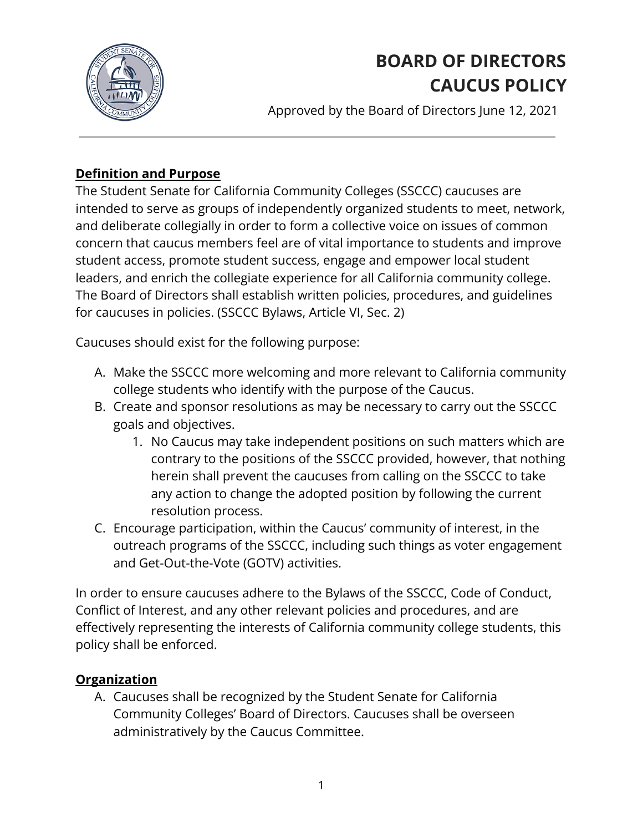

# **BOARD OF DIRECTORS CAUCUS POLICY**

Approved by the Board of Directors June 12, 2021

## **Definition and Purpose**

The Student Senate for California Community Colleges (SSCCC) caucuses are intended to serve as groups of independently organized students to meet, network, and deliberate collegially in order to form a collective voice on issues of common concern that caucus members feel are of vital importance to students and improve student access, promote student success, engage and empower local student leaders, and enrich the collegiate experience for all California community college. The Board of Directors shall establish written policies, procedures, and guidelines for caucuses in policies. (SSCCC Bylaws, Article VI, Sec. 2)

Caucuses should exist for the following purpose:

- A. Make the SSCCC more welcoming and more relevant to California community college students who identify with the purpose of the Caucus.
- B. Create and sponsor resolutions as may be necessary to carry out the SSCCC goals and objectives.
	- 1. No Caucus may take independent positions on such matters which are contrary to the positions of the SSCCC provided, however, that nothing herein shall prevent the caucuses from calling on the SSCCC to take any action to change the adopted position by following the current resolution process.
- C. Encourage participation, within the Caucus' community of interest, in the outreach programs of the SSCCC, including such things as voter engagement and Get-Out-the-Vote (GOTV) activities.

In order to ensure caucuses adhere to the Bylaws of the SSCCC, Code of Conduct, Conflict of Interest, and any other relevant policies and procedures, and are effectively representing the interests of California community college students, this policy shall be enforced.

## **Organization**

A. Caucuses shall be recognized by the Student Senate for California Community Colleges' Board of Directors. Caucuses shall be overseen administratively by the Caucus Committee.